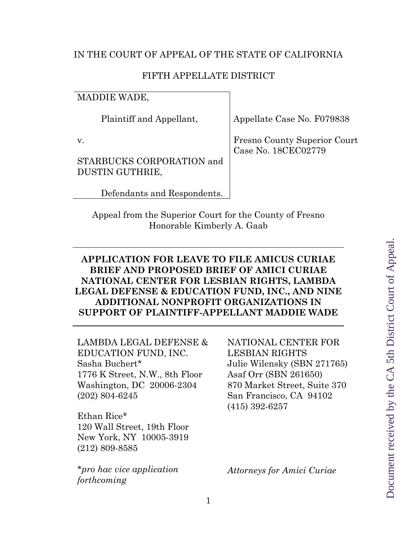## IN THE COURT OF APPEAL OF THE STATE OF CALIFORNIA

## FIFTH APPELLATE DISTRICT

MADDIE WADE,

Plaintiff and Appellant,

v.

STARBUCKS CORPORATION and DUSTIN GUTHRIE,

Defendants and Respondents.

Appellate Case No. F079838

Fresno County Superior Court Case No. 18CEC02779

Appeal from the Superior Court for the County of Fresno Honorable Kimberly A. Gaab

## **APPLICATION FOR LEAVE TO FILE AMICUS CURIAE BRIEF AND PROPOSED BRIEF OF AMICI CURIAE NATIONAL CENTER FOR LESBIAN RIGHTS, LAMBDA LEGAL DEFENSE & EDUCATION FUND, INC., AND NINE ADDITIONAL NONPROFIT ORGANIZATIONS IN SUPPORT OF PLAINTIFF-APPELLANT MADDIE WADE**

LAMBDA LEGAL DEFENSE & EDUCATION FUND, INC. Sasha Buchert\* 1776 K Street, N.W., 8th Floor Washington, DC 20006-2304 (202) 804-6245

Ethan Rice\* 120 Wall Street, 19th Floor New York, NY 10005-3919 (212) 809-8585

\**pro hac vice application forthcoming* 

NATIONAL CENTER FOR LESBIAN RIGHTS Julie Wilensky (SBN 271765) Asaf Orr (SBN 261650) 870 Market Street, Suite 370 San Francisco, CA 94102 (415) 392-6257

*Attorneys for Amici Curiae*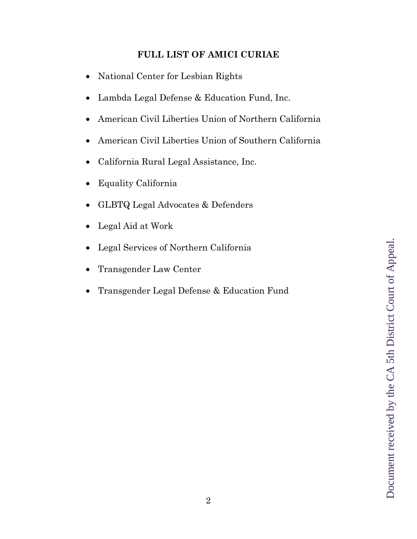## **FULL LIST OF AMICI CURIAE**

- National Center for Lesbian Rights
- Lambda Legal Defense & Education Fund, Inc.
- American Civil Liberties Union of Northern California
- American Civil Liberties Union of Southern California
- California Rural Legal Assistance, Inc.
- Equality California
- GLBTQ Legal Advocates & Defenders
- Legal Aid at Work
- Legal Services of Northern California
- Transgender Law Center
- Transgender Legal Defense & Education Fund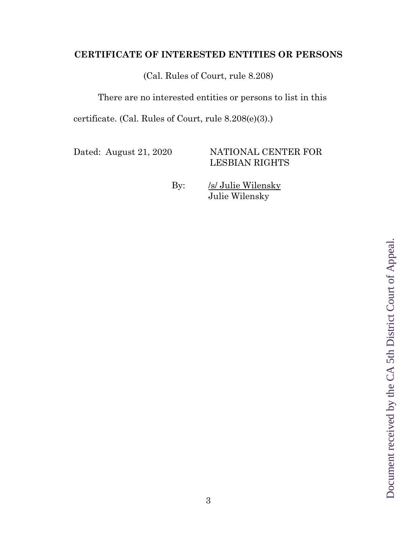## **CERTIFICATE OF INTERESTED ENTITIES OR PERSONS**

(Cal. Rules of Court, rule 8.208)

There are no interested entities or persons to list in this

certificate. (Cal. Rules of Court, rule 8.208(e)(3).)

Dated: August 21, 2020 NATIONAL CENTER FOR LESBIAN RIGHTS

By: /s/ Julie Wilensky Julie Wilensky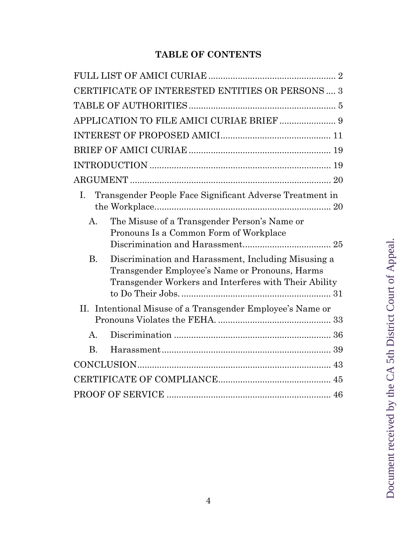# **TABLE OF CONTENTS**

|                | CERTIFICATE OF INTERESTED ENTITIES OR PERSONS  3                                                                                                               |  |  |
|----------------|----------------------------------------------------------------------------------------------------------------------------------------------------------------|--|--|
|                |                                                                                                                                                                |  |  |
|                |                                                                                                                                                                |  |  |
|                |                                                                                                                                                                |  |  |
|                |                                                                                                                                                                |  |  |
|                |                                                                                                                                                                |  |  |
|                |                                                                                                                                                                |  |  |
| I.             | Transgender People Face Significant Adverse Treatment in                                                                                                       |  |  |
| $\mathbf{A}$ . | The Misuse of a Transgender Person's Name or<br>Pronouns Is a Common Form of Workplace                                                                         |  |  |
| <b>B.</b>      | Discrimination and Harassment, Including Misusing a<br>Transgender Employee's Name or Pronouns, Harms<br>Transgender Workers and Interferes with Their Ability |  |  |
|                | II. Intentional Misuse of a Transgender Employee's Name or                                                                                                     |  |  |
| $\mathsf{A}$ . |                                                                                                                                                                |  |  |
| <b>B.</b>      |                                                                                                                                                                |  |  |
|                |                                                                                                                                                                |  |  |
|                |                                                                                                                                                                |  |  |
|                |                                                                                                                                                                |  |  |

Document received by the CA 5th District Court of Appeal. Document received by the CA 5th District Court of Appeal.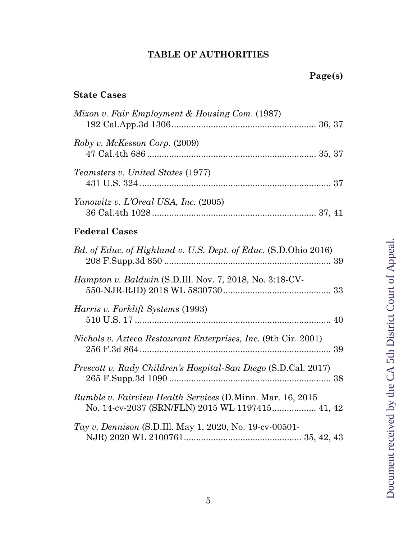# **TABLE OF AUTHORITIES**

 **Page(s)** 

# **State Cases**

| Mixon v. Fair Employment & Housing Com. (1987)                                                                      |
|---------------------------------------------------------------------------------------------------------------------|
| Roby v. McKesson Corp. (2009)                                                                                       |
| <i>Teamsters v. United States</i> (1977)                                                                            |
| Yanowitz v. L'Oreal USA, Inc. (2005)                                                                                |
| <b>Federal Cases</b>                                                                                                |
| Bd. of Educ. of Highland v. U.S. Dept. of Educ. (S.D.Ohio 2016)                                                     |
| Hampton v. Baldwin (S.D.Ill. Nov. 7, 2018, No. 3:18-CV-                                                             |
| <i>Harris v. Forklift Systems</i> (1993)                                                                            |
| <i>Nichols v. Azteca Restaurant Enterprises, Inc.</i> (9th Cir. 2001)                                               |
| Prescott v. Rady Children's Hospital-San Diego (S.D.Cal. 2017)                                                      |
| <i>Rumble v. Fairview Health Services</i> (D.Minn. Mar. 16, 2015<br>No. 14-cv-2037 (SRN/FLN) 2015 WL 1197415 41, 42 |
| Tay v. Dennison (S.D.Ill. May 1, 2020, No. 19-cv-00501-                                                             |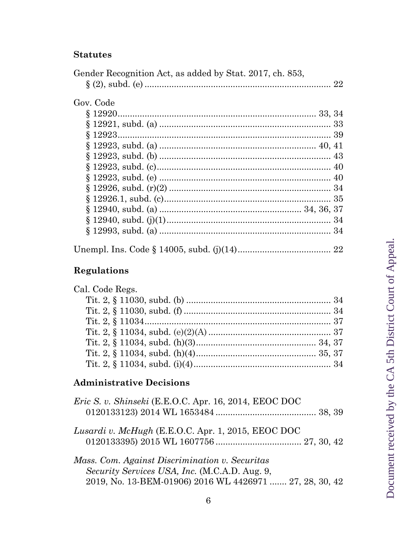## **Statutes**

| Gov. Code |  |
|-----------|--|
|           |  |
|           |  |
|           |  |
|           |  |
|           |  |
|           |  |
|           |  |
|           |  |
|           |  |
|           |  |
|           |  |
|           |  |

# **Regulations**

| Cal. Code Regs. |  |
|-----------------|--|
|                 |  |
|                 |  |
|                 |  |
|                 |  |
|                 |  |
|                 |  |
|                 |  |
|                 |  |

## **Administrative Decisions**

| Eric S. v. Shinseki (E.E.O.C. Apr. 16, 2014, EEOC DOC                                                                                                      |  |
|------------------------------------------------------------------------------------------------------------------------------------------------------------|--|
| Lusardi v. McHugh (E.E.O.C. Apr. 1, 2015, EEOC DOC                                                                                                         |  |
| Mass. Com. Against Discrimination v. Securitas<br>Security Services USA, Inc. (M.C.A.D. Aug. 9,<br>2019, No. 13-BEM-01906) 2016 WL 4426971  27, 28, 30, 42 |  |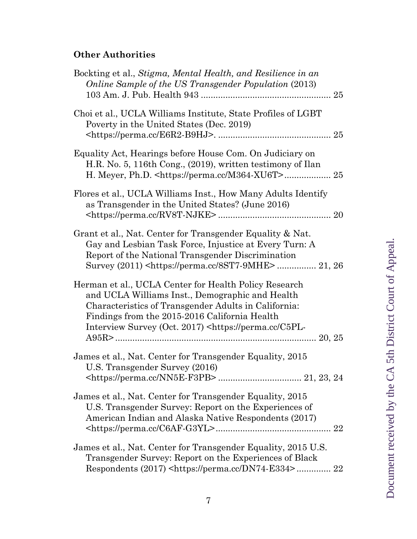# **Other Authorities**

| Bockting et al., Stigma, Mental Health, and Resilience in an<br>Online Sample of the US Transgender Population (2013)                                                                                                                                                                           |
|-------------------------------------------------------------------------------------------------------------------------------------------------------------------------------------------------------------------------------------------------------------------------------------------------|
| Choi et al., UCLA Williams Institute, State Profiles of LGBT<br>Poverty in the United States (Dec. 2019)                                                                                                                                                                                        |
| Equality Act, Hearings before House Com. On Judiciary on<br>H.R. No. 5, 116th Cong., (2019), written testimony of Ilan                                                                                                                                                                          |
| Flores et al., UCLA Williams Inst., How Many Adults Identify<br>as Transgender in the United States? (June 2016)                                                                                                                                                                                |
| Grant et al., Nat. Center for Transgender Equality & Nat.<br>Gay and Lesbian Task Force, Injustice at Every Turn: A<br>Report of the National Transgender Discrimination                                                                                                                        |
| Herman et al., UCLA Center for Health Policy Research<br>and UCLA Williams Inst., Demographic and Health<br>Characteristics of Transgender Adults in California:<br>Findings from the 2015-2016 California Health<br>Interview Survey (Oct. 2017) <https: c5pl-<="" perma.cc="" td=""></https:> |
| James et al., Nat. Center for Transgender Equality, 2015<br>U.S. Transgender Survey (2016)                                                                                                                                                                                                      |
| James et al., Nat. Center for Transgender Equality, 2015<br>U.S. Transgender Survey: Report on the Experiences of<br>American Indian and Alaska Native Respondents (2017)                                                                                                                       |
| James et al., Nat. Center for Transgender Equality, 2015 U.S.<br>Transgender Survey: Report on the Experiences of Black<br>Respondents (2017) <https: dn74-e334="" perma.cc=""> 22</https:>                                                                                                     |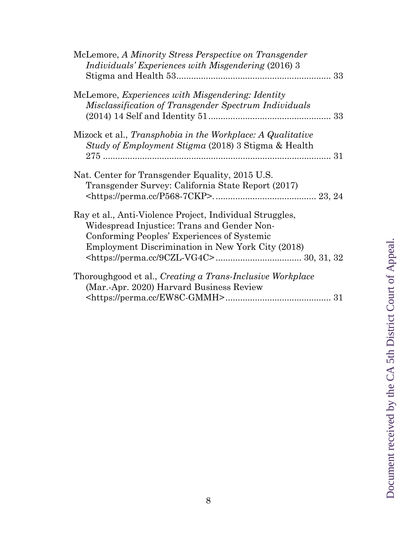| McLemore, A Minority Stress Perspective on Transgender<br><i>Individuals' Experiences with Misgendering (2016) 3</i>                                                                                               |
|--------------------------------------------------------------------------------------------------------------------------------------------------------------------------------------------------------------------|
| McLemore, <i>Experiences with Misgendering: Identity</i><br>Misclassification of Transgender Spectrum Individuals                                                                                                  |
| Mizock et al., <i>Transphobia in the Workplace: A Qualitative</i><br>Study of Employment Stigma (2018) 3 Stigma & Health                                                                                           |
| Nat. Center for Transgender Equality, 2015 U.S.<br>Transgender Survey: California State Report (2017)                                                                                                              |
| Ray et al., Anti-Violence Project, Individual Struggles,<br>Widespread Injustice: Trans and Gender Non-<br>Conforming Peoples' Experiences of Systemic<br><b>Employment Discrimination in New York City (2018)</b> |
| Thoroughgood et al., Creating a Trans-Inclusive Workplace<br>(Mar.-Apr. 2020) Harvard Business Review                                                                                                              |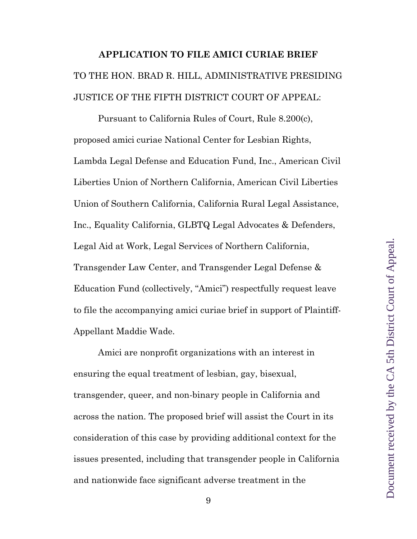# **APPLICATION TO FILE AMICI CURIAE BRIEF**  TO THE HON. BRAD R. HILL, ADMINISTRATIVE PRESIDING JUSTICE OF THE FIFTH DISTRICT COURT OF APPEAL:

Pursuant to California Rules of Court, Rule 8.200(c), proposed amici curiae National Center for Lesbian Rights, Lambda Legal Defense and Education Fund, Inc., American Civil Liberties Union of Northern California, American Civil Liberties Union of Southern California, California Rural Legal Assistance, Inc., Equality California, GLBTQ Legal Advocates & Defenders, Legal Aid at Work, Legal Services of Northern California, Transgender Law Center, and Transgender Legal Defense & Education Fund (collectively, "Amici") respectfully request leave to file the accompanying amici curiae brief in support of Plaintiff-Appellant Maddie Wade.

Amici are nonprofit organizations with an interest in ensuring the equal treatment of lesbian, gay, bisexual, transgender, queer, and non-binary people in California and across the nation. The proposed brief will assist the Court in its consideration of this case by providing additional context for the issues presented, including that transgender people in California and nationwide face significant adverse treatment in the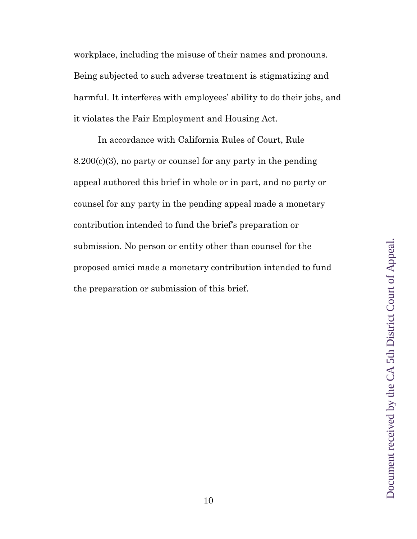workplace, including the misuse of their names and pronouns. Being subjected to such adverse treatment is stigmatizing and harmful. It interferes with employees' ability to do their jobs, and it violates the Fair Employment and Housing Act.

In accordance with California Rules of Court, Rule 8.200(c)(3), no party or counsel for any party in the pending appeal authored this brief in whole or in part, and no party or counsel for any party in the pending appeal made a monetary contribution intended to fund the brief's preparation or submission. No person or entity other than counsel for the proposed amici made a monetary contribution intended to fund the preparation or submission of this brief.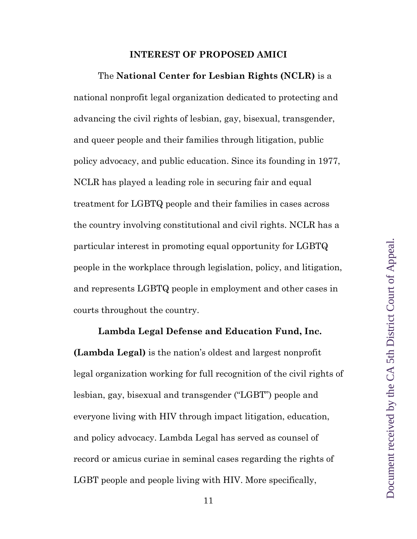#### **INTEREST OF PROPOSED AMICI**

The **National Center for Lesbian Rights (NCLR)** is a national nonprofit legal organization dedicated to protecting and advancing the civil rights of lesbian, gay, bisexual, transgender, and queer people and their families through litigation, public policy advocacy, and public education. Since its founding in 1977, NCLR has played a leading role in securing fair and equal treatment for LGBTQ people and their families in cases across the country involving constitutional and civil rights. NCLR has a particular interest in promoting equal opportunity for LGBTQ people in the workplace through legislation, policy, and litigation, and represents LGBTQ people in employment and other cases in courts throughout the country.

**Lambda Legal Defense and Education Fund, Inc. (Lambda Legal)** is the nation's oldest and largest nonprofit legal organization working for full recognition of the civil rights of lesbian, gay, bisexual and transgender ("LGBT") people and everyone living with HIV through impact litigation, education, and policy advocacy. Lambda Legal has served as counsel of record or amicus curiae in seminal cases regarding the rights of LGBT people and people living with HIV. More specifically,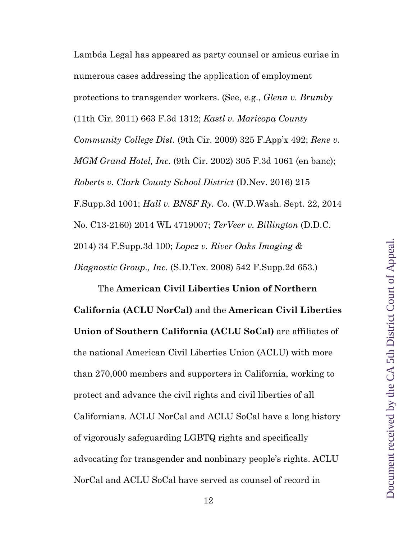Document received by the CA 5th District Court of Appeal. Document received by the CA 5th District Court of Appeal.

Lambda Legal has appeared as party counsel or amicus curiae in numerous cases addressing the application of employment protections to transgender workers. (See, e.g., *Glenn v. Brumby* (11th Cir. 2011) 663 F.3d 1312; *Kastl v. Maricopa County Community College Dist.* (9th Cir. 2009) 325 F.App'x 492; *Rene v. MGM Grand Hotel, Inc.* (9th Cir. 2002) 305 F.3d 1061 (en banc); *Roberts v. Clark County School District* (D.Nev. 2016) 215 F.Supp.3d 1001; *Hall v. BNSF Ry. Co.* (W.D.Wash. Sept. 22, 2014 No. C13-2160) 2014 WL 4719007; *TerVeer v. Billington* (D.D.C. 2014) 34 F.Supp.3d 100; *Lopez v. River Oaks Imaging & Diagnostic Group., Inc.* (S.D.Tex. 2008) 542 F.Supp.2d 653.)

The **American Civil Liberties Union of Northern California (ACLU NorCal)** and the **American Civil Liberties Union of Southern California (ACLU SoCal)** are affiliates of the national American Civil Liberties Union (ACLU) with more than 270,000 members and supporters in California, working to protect and advance the civil rights and civil liberties of all Californians. ACLU NorCal and ACLU SoCal have a long history of vigorously safeguarding LGBTQ rights and specifically advocating for transgender and nonbinary people's rights. ACLU NorCal and ACLU SoCal have served as counsel of record in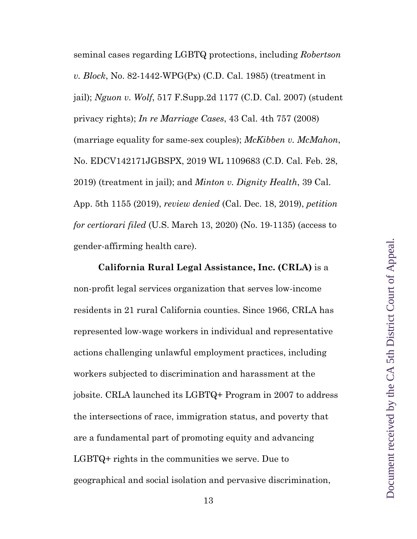seminal cases regarding LGBTQ protections, including *Robertson v. Block*, No. 82-1442-WPG(Px) (C.D. Cal. 1985) (treatment in jail); *Nguon v. Wolf*, 517 F.Supp.2d 1177 (C.D. Cal. 2007) (student privacy rights); *In re Marriage Cases*, 43 Cal. 4th 757 (2008) (marriage equality for same-sex couples); *McKibben v. McMahon*, No. EDCV142171JGBSPX, 2019 WL 1109683 (C.D. Cal. Feb. 28, 2019) (treatment in jail); and *Minton v. Dignity Health*, 39 Cal. App. 5th 1155 (2019), *review denied* (Cal. Dec. 18, 2019), *petition for certiorari filed* (U.S. March 13, 2020) (No. 19-1135) (access to gender-affirming health care).

**California Rural Legal Assistance, Inc. (CRLA)** is a non-profit legal services organization that serves low-income residents in 21 rural California counties. Since 1966, CRLA has represented low-wage workers in individual and representative actions challenging unlawful employment practices, including workers subjected to discrimination and harassment at the jobsite. CRLA launched its LGBTQ+ Program in 2007 to address the intersections of race, immigration status, and poverty that are a fundamental part of promoting equity and advancing LGBTQ+ rights in the communities we serve. Due to geographical and social isolation and pervasive discrimination,

13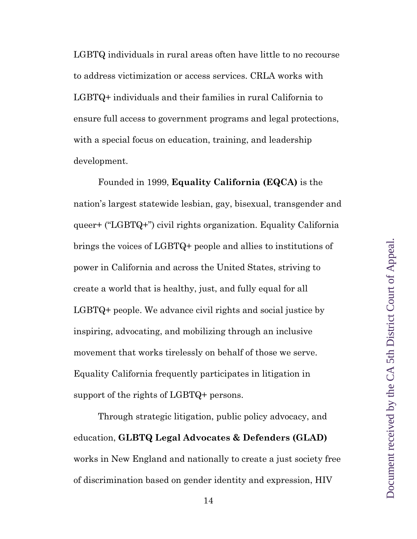LGBTQ individuals in rural areas often have little to no recourse to address victimization or access services. CRLA works with LGBTQ+ individuals and their families in rural California to ensure full access to government programs and legal protections, with a special focus on education, training, and leadership development.

Founded in 1999, **Equality California (EQCA)** is the nation's largest statewide lesbian, gay, bisexual, transgender and queer+ ("LGBTQ+") civil rights organization. Equality California brings the voices of LGBTQ+ people and allies to institutions of power in California and across the United States, striving to create a world that is healthy, just, and fully equal for all LGBTQ+ people. We advance civil rights and social justice by inspiring, advocating, and mobilizing through an inclusive movement that works tirelessly on behalf of those we serve. Equality California frequently participates in litigation in support of the rights of LGBTQ+ persons.

Through strategic litigation, public policy advocacy, and education, **GLBTQ Legal Advocates & Defenders (GLAD)**  works in New England and nationally to create a just society free of discrimination based on gender identity and expression, HIV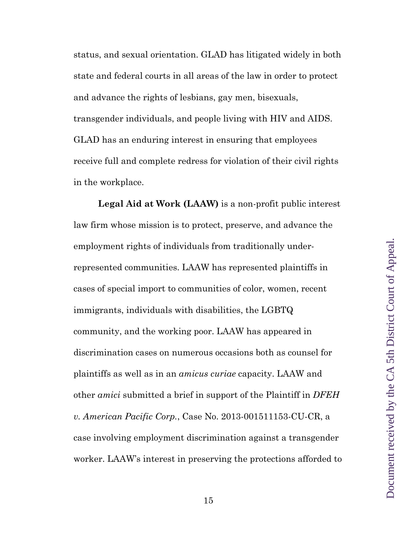status, and sexual orientation. GLAD has litigated widely in both state and federal courts in all areas of the law in order to protect and advance the rights of lesbians, gay men, bisexuals, transgender individuals, and people living with HIV and AIDS. GLAD has an enduring interest in ensuring that employees receive full and complete redress for violation of their civil rights in the workplace.

**Legal Aid at Work (LAAW)** is a non-profit public interest law firm whose mission is to protect, preserve, and advance the employment rights of individuals from traditionally underrepresented communities. LAAW has represented plaintiffs in cases of special import to communities of color, women, recent immigrants, individuals with disabilities, the LGBTQ community, and the working poor. LAAW has appeared in discrimination cases on numerous occasions both as counsel for plaintiffs as well as in an *amicus curiae* capacity. LAAW and other *amici* submitted a brief in support of the Plaintiff in *DFEH v. American Pacific Corp.*, Case No. 2013-001511153-CU-CR, a case involving employment discrimination against a transgender worker. LAAW's interest in preserving the protections afforded to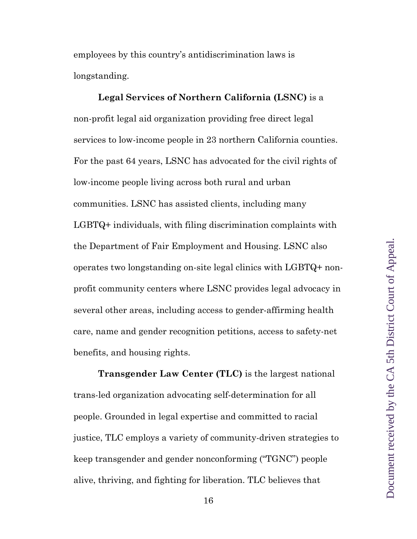employees by this country's antidiscrimination laws is longstanding.

**Legal Services of Northern California (LSNC)** is a non-profit legal aid organization providing free direct legal services to low-income people in 23 northern California counties. For the past 64 years, LSNC has advocated for the civil rights of low-income people living across both rural and urban communities. LSNC has assisted clients, including many LGBTQ+ individuals, with filing discrimination complaints with the Department of Fair Employment and Housing. LSNC also operates two longstanding on-site legal clinics with LGBTQ+ nonprofit community centers where LSNC provides legal advocacy in several other areas, including access to gender-affirming health care, name and gender recognition petitions, access to safety-net benefits, and housing rights.

**Transgender Law Center (TLC)** is the largest national trans-led organization advocating self-determination for all people. Grounded in legal expertise and committed to racial justice, TLC employs a variety of community-driven strategies to keep transgender and gender nonconforming ("TGNC") people alive, thriving, and fighting for liberation. TLC believes that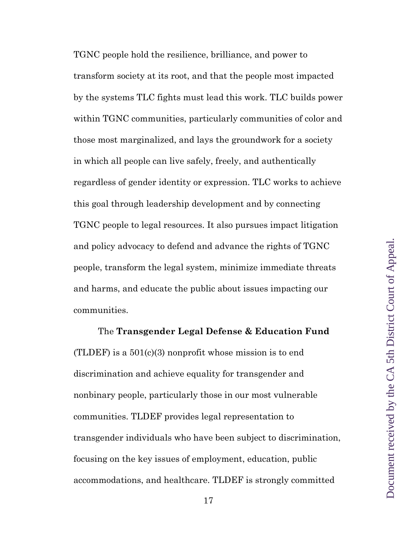TGNC people hold the resilience, brilliance, and power to transform society at its root, and that the people most impacted by the systems TLC fights must lead this work. TLC builds power within TGNC communities, particularly communities of color and those most marginalized, and lays the groundwork for a society in which all people can live safely, freely, and authentically regardless of gender identity or expression. TLC works to achieve this goal through leadership development and by connecting TGNC people to legal resources. It also pursues impact litigation and policy advocacy to defend and advance the rights of TGNC people, transform the legal system, minimize immediate threats and harms, and educate the public about issues impacting our communities.

The **Transgender Legal Defense & Education Fund**  (TLDEF) is a  $501(c)(3)$  nonprofit whose mission is to end discrimination and achieve equality for transgender and nonbinary people, particularly those in our most vulnerable communities. TLDEF provides legal representation to transgender individuals who have been subject to discrimination, focusing on the key issues of employment, education, public accommodations, and healthcare. TLDEF is strongly committed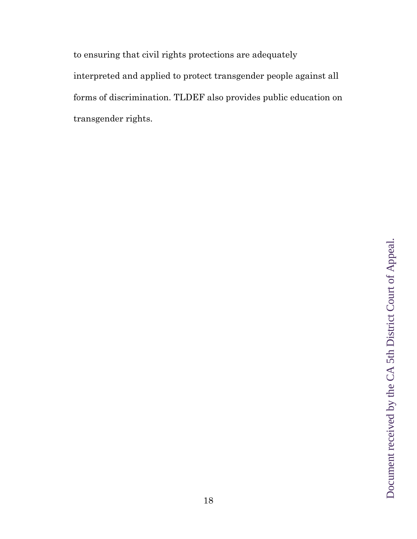to ensuring that civil rights protections are adequately interpreted and applied to protect transgender people against all forms of discrimination. TLDEF also provides public education on transgender rights.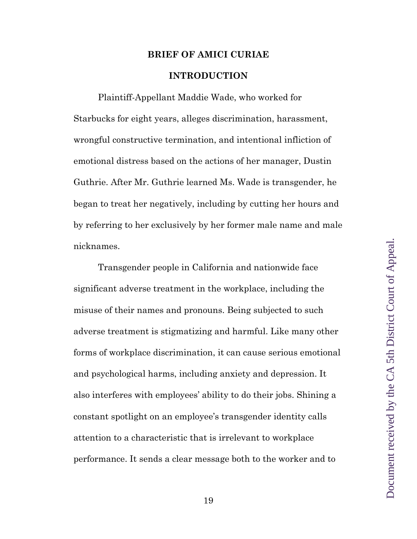#### **BRIEF OF AMICI CURIAE**

#### **INTRODUCTION**

Plaintiff-Appellant Maddie Wade, who worked for Starbucks for eight years, alleges discrimination, harassment, wrongful constructive termination, and intentional infliction of emotional distress based on the actions of her manager, Dustin Guthrie. After Mr. Guthrie learned Ms. Wade is transgender, he began to treat her negatively, including by cutting her hours and by referring to her exclusively by her former male name and male nicknames.

Transgender people in California and nationwide face significant adverse treatment in the workplace, including the misuse of their names and pronouns. Being subjected to such adverse treatment is stigmatizing and harmful. Like many other forms of workplace discrimination, it can cause serious emotional and psychological harms, including anxiety and depression. It also interferes with employees' ability to do their jobs. Shining a constant spotlight on an employee's transgender identity calls attention to a characteristic that is irrelevant to workplace performance. It sends a clear message both to the worker and to

19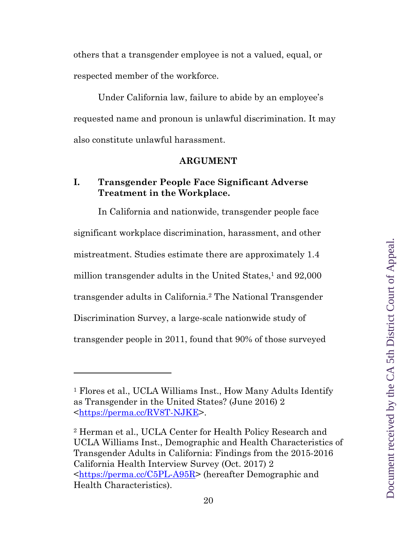others that a transgender employee is not a valued, equal, or respected member of the workforce.

Under California law, failure to abide by an employee's requested name and pronoun is unlawful discrimination. It may also constitute unlawful harassment.

#### **ARGUMENT**

#### **I. Transgender People Face Significant Adverse Treatment in the Workplace.**

In California and nationwide, transgender people face significant workplace discrimination, harassment, and other mistreatment. Studies estimate there are approximately 1.4 million transgender adults in the United States, $1$  and  $92,000$ transgender adults in California.2 The National Transgender Discrimination Survey, a large-scale nationwide study of transgender people in 2011, found that 90% of those surveyed

<sup>1</sup> Flores et al., UCLA Williams Inst., How Many Adults Identify as Transgender in the United States? (June 2016) 2 <https://perma.cc/RV8T-NJKE>.

<sup>2</sup> Herman et al., UCLA Center for Health Policy Research and UCLA Williams Inst., Demographic and Health Characteristics of Transgender Adults in California: Findings from the 2015-2016 California Health Interview Survey (Oct. 2017) 2 <https://perma.cc/C5PL-A95R> (hereafter Demographic and Health Characteristics).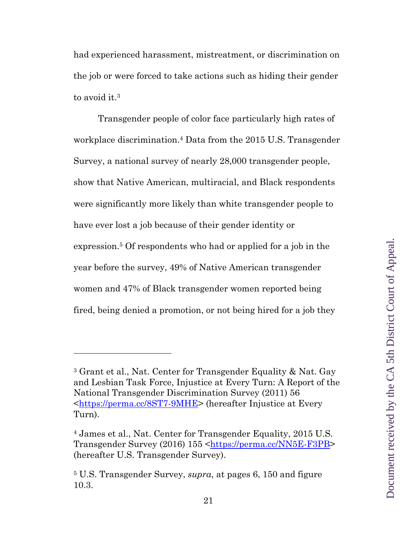had experienced harassment, mistreatment, or discrimination on the job or were forced to take actions such as hiding their gender to avoid it.<sup>3</sup>

Transgender people of color face particularly high rates of workplace discrimination.4 Data from the 2015 U.S. Transgender Survey, a national survey of nearly 28,000 transgender people, show that Native American, multiracial, and Black respondents were significantly more likely than white transgender people to have ever lost a job because of their gender identity or expression.5 Of respondents who had or applied for a job in the year before the survey, 49% of Native American transgender women and 47% of Black transgender women reported being fired, being denied a promotion, or not being hired for a job they

<sup>3</sup> Grant et al., Nat. Center for Transgender Equality & Nat. Gay and Lesbian Task Force, Injustice at Every Turn: A Report of the National Transgender Discrimination Survey (2011) 56 <https://perma.cc/8ST7-9MHE> (hereafter Injustice at Every Turn).

<sup>4</sup> James et al., Nat. Center for Transgender Equality, 2015 U.S. Transgender Survey (2016) 155 <https://perma.cc/NN5E-F3PB> (hereafter U.S. Transgender Survey).

<sup>5</sup> U.S. Transgender Survey, *supra*, at pages 6, 150 and figure 10.3.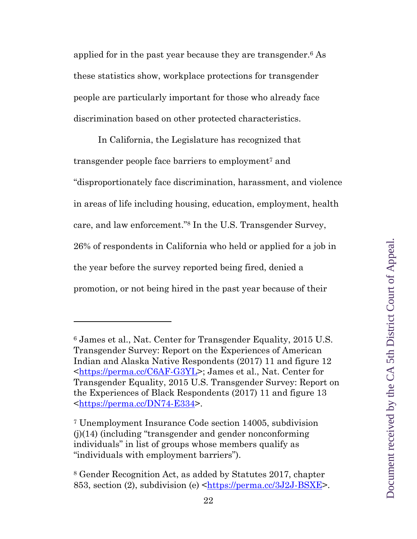applied for in the past year because they are transgender.6 As these statistics show, workplace protections for transgender people are particularly important for those who already face discrimination based on other protected characteristics.

In California, the Legislature has recognized that transgender people face barriers to employment7 and "disproportionately face discrimination, harassment, and violence in areas of life including housing, education, employment, health care, and law enforcement."8 In the U.S. Transgender Survey, 26% of respondents in California who held or applied for a job in the year before the survey reported being fired, denied a promotion, or not being hired in the past year because of their

<sup>6</sup> James et al., Nat. Center for Transgender Equality, 2015 U.S. Transgender Survey: Report on the Experiences of American Indian and Alaska Native Respondents (2017) 11 and figure 12 <https://perma.cc/C6AF-G3YL>; James et al., Nat. Center for Transgender Equality, 2015 U.S. Transgender Survey: Report on the Experiences of Black Respondents (2017) 11 and figure 13 <https://perma.cc/DN74-E334>.

<sup>7</sup> Unemployment Insurance Code section 14005, subdivision (j)(14) (including "transgender and gender nonconforming individuals" in list of groups whose members qualify as "individuals with employment barriers").

<sup>8</sup> Gender Recognition Act, as added by Statutes 2017, chapter 853, section (2), subdivision (e) <https://perma.cc/3J2J-BSXE>.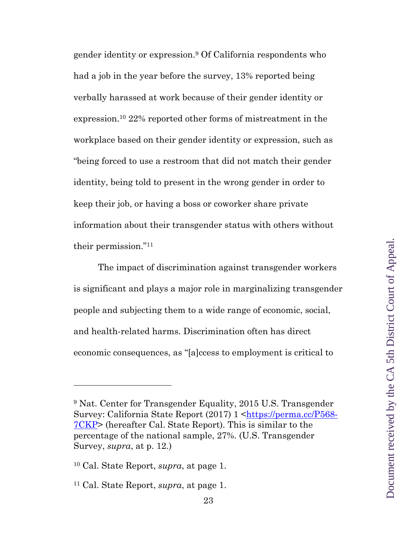gender identity or expression.9 Of California respondents who had a job in the year before the survey, 13% reported being verbally harassed at work because of their gender identity or expression.10 22% reported other forms of mistreatment in the workplace based on their gender identity or expression, such as "being forced to use a restroom that did not match their gender identity, being told to present in the wrong gender in order to keep their job, or having a boss or coworker share private information about their transgender status with others without their permission."11

The impact of discrimination against transgender workers is significant and plays a major role in marginalizing transgender people and subjecting them to a wide range of economic, social, and health-related harms. Discrimination often has direct economic consequences, as "[a]ccess to employment is critical to

<sup>9</sup> Nat. Center for Transgender Equality, 2015 U.S. Transgender Survey: California State Report (2017) 1 <https://perma.cc/P568- 7CKP> (hereafter Cal. State Report). This is similar to the percentage of the national sample, 27%. (U.S. Transgender Survey, *supra*, at p. 12.)

<sup>10</sup> Cal. State Report, *supra*, at page 1.

<sup>11</sup> Cal. State Report, *supra*, at page 1.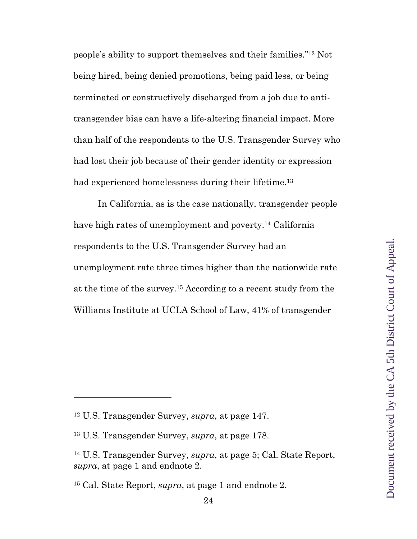people's ability to support themselves and their families."12 Not being hired, being denied promotions, being paid less, or being terminated or constructively discharged from a job due to antitransgender bias can have a life-altering financial impact. More than half of the respondents to the U.S. Transgender Survey who had lost their job because of their gender identity or expression had experienced homelessness during their lifetime.<sup>13</sup>

In California, as is the case nationally, transgender people have high rates of unemployment and poverty.<sup>14</sup> California respondents to the U.S. Transgender Survey had an unemployment rate three times higher than the nationwide rate at the time of the survey.15 According to a recent study from the Williams Institute at UCLA School of Law, 41% of transgender

<sup>12</sup> U.S. Transgender Survey, *supra*, at page 147.

<sup>13</sup> U.S. Transgender Survey, *supra*, at page 178.

<sup>14</sup> U.S. Transgender Survey, *supra*, at page 5; Cal. State Report, *supra*, at page 1 and endnote 2.

<sup>15</sup> Cal. State Report, *supra*, at page 1 and endnote 2.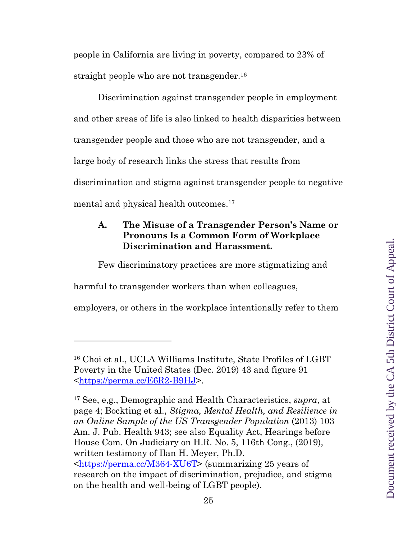people in California are living in poverty, compared to 23% of straight people who are not transgender.<sup>16</sup>

Discrimination against transgender people in employment and other areas of life is also linked to health disparities between transgender people and those who are not transgender, and a large body of research links the stress that results from discrimination and stigma against transgender people to negative mental and physical health outcomes.<sup>17</sup>

## **A. The Misuse of a Transgender Person's Name or Pronouns Is a Common Form of Workplace Discrimination and Harassment.**

Few discriminatory practices are more stigmatizing and

harmful to transgender workers than when colleagues,

employers, or others in the workplace intentionally refer to them

<sup>16</sup> Choi et al., UCLA Williams Institute, State Profiles of LGBT Poverty in the United States (Dec. 2019) 43 and figure 91 <https://perma.cc/E6R2-B9HJ>.

<sup>17</sup> See, e,g., Demographic and Health Characteristics, *supra*, at page 4; Bockting et al., *Stigma, Mental Health, and Resilience in an Online Sample of the US Transgender Population* (2013) 103 Am. J. Pub. Health 943; see also Equality Act, Hearings before House Com. On Judiciary on H.R. No. 5, 116th Cong., (2019), written testimony of Ilan H. Meyer, Ph.D. <https://perma.cc/M364-XU6T> (summarizing 25 years of research on the impact of discrimination, prejudice, and stigma on the health and well-being of LGBT people).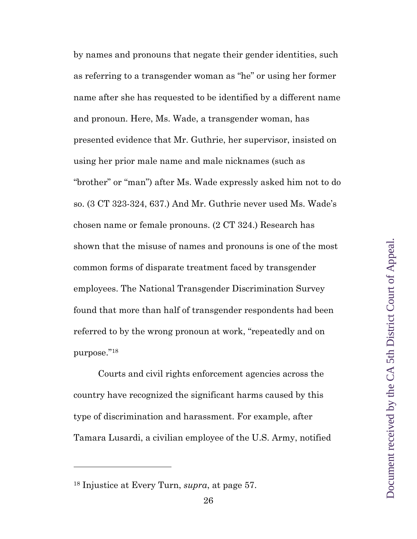by names and pronouns that negate their gender identities, such as referring to a transgender woman as "he" or using her former name after she has requested to be identified by a different name and pronoun. Here, Ms. Wade, a transgender woman, has presented evidence that Mr. Guthrie, her supervisor, insisted on using her prior male name and male nicknames (such as "brother" or "man") after Ms. Wade expressly asked him not to do so. (3 CT 323-324, 637.) And Mr. Guthrie never used Ms. Wade's chosen name or female pronouns. (2 CT 324.) Research has shown that the misuse of names and pronouns is one of the most common forms of disparate treatment faced by transgender employees. The National Transgender Discrimination Survey found that more than half of transgender respondents had been referred to by the wrong pronoun at work, "repeatedly and on purpose."18

Courts and civil rights enforcement agencies across the country have recognized the significant harms caused by this type of discrimination and harassment. For example, after Tamara Lusardi, a civilian employee of the U.S. Army, notified

<sup>18</sup> Injustice at Every Turn, *supra*, at page 57.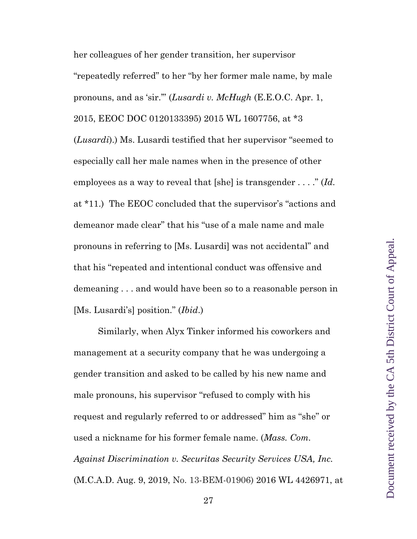her colleagues of her gender transition, her supervisor "repeatedly referred" to her "by her former male name, by male pronouns, and as 'sir.'" (*Lusardi v. McHugh* (E.E.O.C. Apr. 1, 2015, EEOC DOC 0120133395) 2015 WL 1607756, at \*3 (*Lusardi*).) Ms. Lusardi testified that her supervisor "seemed to especially call her male names when in the presence of other employees as a way to reveal that [she] is transgender . . . ." (*Id.* at \*11.) The EEOC concluded that the supervisor's "actions and demeanor made clear" that his "use of a male name and male pronouns in referring to [Ms. Lusardi] was not accidental" and that his "repeated and intentional conduct was offensive and demeaning . . . and would have been so to a reasonable person in [Ms. Lusardi's] position." (*Ibid*.)

Similarly, when Alyx Tinker informed his coworkers and management at a security company that he was undergoing a gender transition and asked to be called by his new name and male pronouns, his supervisor "refused to comply with his request and regularly referred to or addressed" him as "she" or used a nickname for his former female name. (*Mass. Com. Against Discrimination v. Securitas Security Services USA, Inc.* (M.C.A.D. Aug. 9, 2019, No. 13-BEM-01906) 2016 WL 4426971, at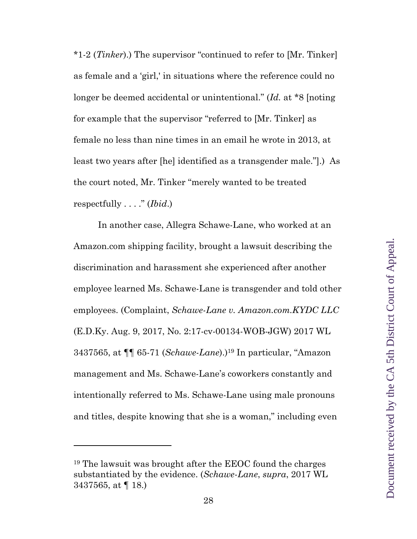\*1-2 (*Tinker*).) The supervisor "continued to refer to [Mr. Tinker] as female and a 'girl,' in situations where the reference could no longer be deemed accidental or unintentional." (*Id.* at \*8 [noting for example that the supervisor "referred to [Mr. Tinker] as female no less than nine times in an email he wrote in 2013, at least two years after [he] identified as a transgender male."].) As the court noted, Mr. Tinker "merely wanted to be treated respectfully . . . ." (*Ibid*.)

In another case, Allegra Schawe-Lane, who worked at an Amazon.com shipping facility, brought a lawsuit describing the discrimination and harassment she experienced after another employee learned Ms. Schawe-Lane is transgender and told other employees. (Complaint, *Schawe-Lane v. Amazon.com.KYDC LLC* (E.D.Ky. Aug. 9, 2017, No. 2:17-cv-00134-WOB-JGW) 2017 WL 3437565, at ¶¶ 65-71 (*Schawe-Lane*).)19 In particular, "Amazon management and Ms. Schawe-Lane's coworkers constantly and intentionally referred to Ms. Schawe-Lane using male pronouns and titles, despite knowing that she is a woman," including even

<sup>19</sup> The lawsuit was brought after the EEOC found the charges substantiated by the evidence. (*Schawe-Lane*, *supra*, 2017 WL 3437565, at ¶ 18.)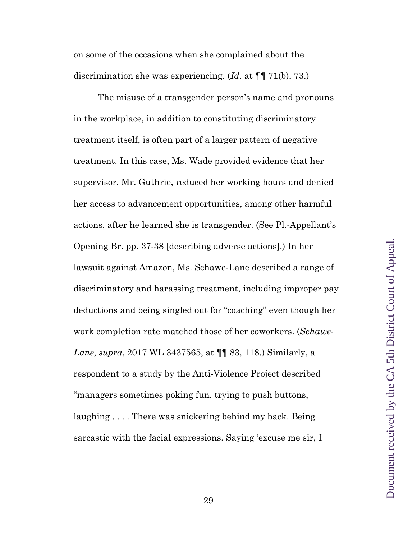on some of the occasions when she complained about the discrimination she was experiencing. (*Id.* at ¶¶ 71(b), 73.)

The misuse of a transgender person's name and pronouns in the workplace, in addition to constituting discriminatory treatment itself, is often part of a larger pattern of negative treatment. In this case, Ms. Wade provided evidence that her supervisor, Mr. Guthrie, reduced her working hours and denied her access to advancement opportunities, among other harmful actions, after he learned she is transgender. (See Pl.-Appellant's Opening Br. pp. 37-38 [describing adverse actions].) In her lawsuit against Amazon, Ms. Schawe-Lane described a range of discriminatory and harassing treatment, including improper pay deductions and being singled out for "coaching" even though her work completion rate matched those of her coworkers. (*Schawe-Lane*, *supra*, 2017 WL 3437565, at ¶¶ 83, 118.) Similarly, a respondent to a study by the Anti-Violence Project described "managers sometimes poking fun, trying to push buttons, laughing . . . . There was snickering behind my back. Being sarcastic with the facial expressions. Saying 'excuse me sir, I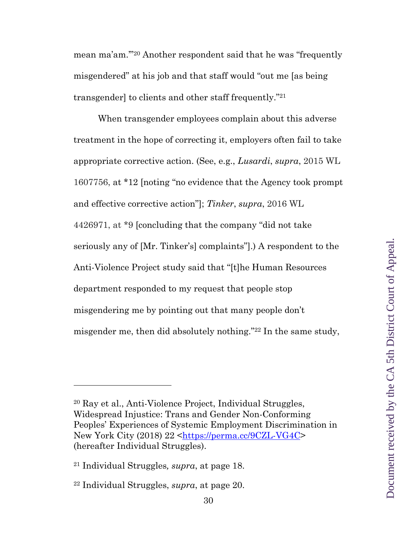mean ma'am.'"20 Another respondent said that he was "frequently misgendered" at his job and that staff would "out me [as being transgender] to clients and other staff frequently."21

When transgender employees complain about this adverse treatment in the hope of correcting it, employers often fail to take appropriate corrective action. (See, e.g., *Lusardi*, *supra*, 2015 WL 1607756, at \*12 [noting "no evidence that the Agency took prompt and effective corrective action"]; *Tinker*, *supra*, 2016 WL 4426971, at \*9 [concluding that the company "did not take seriously any of [Mr. Tinker's] complaints"].) A respondent to the Anti-Violence Project study said that "[t]he Human Resources department responded to my request that people stop misgendering me by pointing out that many people don't misgender me, then did absolutely nothing."22 In the same study,

<sup>20</sup> Ray et al., Anti-Violence Project, Individual Struggles, Widespread Injustice: Trans and Gender Non-Conforming Peoples' Experiences of Systemic Employment Discrimination in New York City (2018) 22 <https://perma.cc/9CZL-VG4C> (hereafter Individual Struggles).

<sup>21</sup> Individual Struggles*, supra*, at page 18.

<sup>22</sup> Individual Struggles, *supra*, at page 20.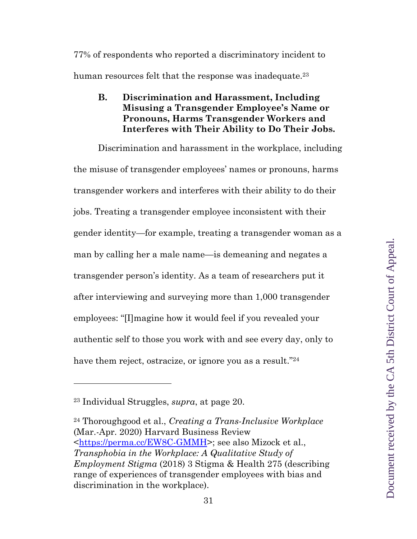77% of respondents who reported a discriminatory incident to human resources felt that the response was inadequate.<sup>23</sup>

## **B. Discrimination and Harassment, Including Misusing a Transgender Employee's Name or Pronouns, Harms Transgender Workers and Interferes with Their Ability to Do Their Jobs.**

Discrimination and harassment in the workplace, including the misuse of transgender employees' names or pronouns, harms transgender workers and interferes with their ability to do their jobs. Treating a transgender employee inconsistent with their gender identity—for example, treating a transgender woman as a man by calling her a male name—is demeaning and negates a transgender person's identity. As a team of researchers put it after interviewing and surveying more than 1,000 transgender employees: "[I]magine how it would feel if you revealed your authentic self to those you work with and see every day, only to have them reject, ostracize, or ignore you as a result."<sup>24</sup>

<sup>23</sup> Individual Struggles, *supra*, at page 20.

<sup>24</sup> Thoroughgood et al., *Creating a Trans-Inclusive Workplace* (Mar.-Apr. 2020) Harvard Business Review <https://perma.cc/EW8C-GMMH>; see also Mizock et al., *Transphobia in the Workplace: A Qualitative Study of Employment Stigma* (2018) 3 Stigma & Health 275 (describing range of experiences of transgender employees with bias and discrimination in the workplace).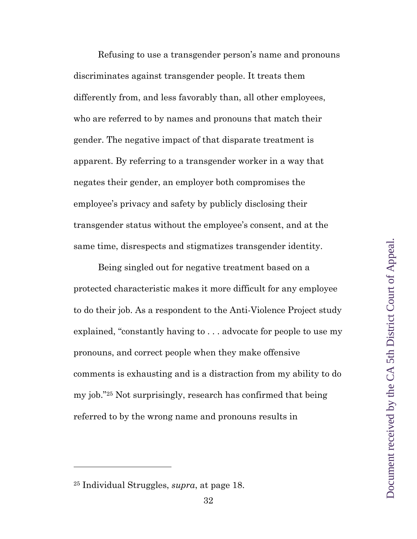Refusing to use a transgender person's name and pronouns discriminates against transgender people. It treats them differently from, and less favorably than, all other employees, who are referred to by names and pronouns that match their gender. The negative impact of that disparate treatment is apparent. By referring to a transgender worker in a way that negates their gender, an employer both compromises the employee's privacy and safety by publicly disclosing their transgender status without the employee's consent, and at the same time, disrespects and stigmatizes transgender identity.

Being singled out for negative treatment based on a protected characteristic makes it more difficult for any employee to do their job. As a respondent to the Anti-Violence Project study explained, "constantly having to . . . advocate for people to use my pronouns, and correct people when they make offensive comments is exhausting and is a distraction from my ability to do my job."25 Not surprisingly, research has confirmed that being referred to by the wrong name and pronouns results in

<sup>25</sup> Individual Struggles, *supra*, at page 18.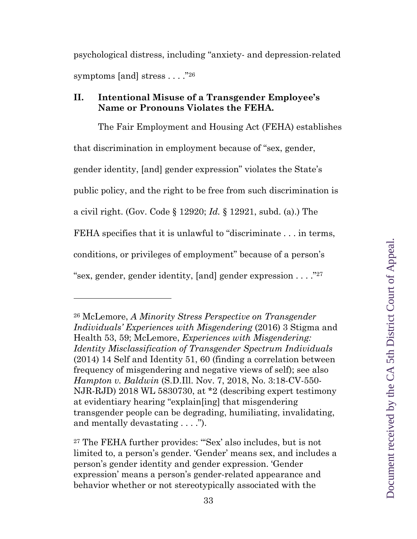psychological distress, including "anxiety- and depression-related symptoms [and] stress . . . . "26"

### **II. Intentional Misuse of a Transgender Employee's Name or Pronouns Violates the FEHA.**

The Fair Employment and Housing Act (FEHA) establishes that discrimination in employment because of "sex, gender, gender identity, [and] gender expression" violates the State's public policy, and the right to be free from such discrimination is a civil right. (Gov. Code § 12920; *Id.* § 12921, subd. (a).) The FEHA specifies that it is unlawful to "discriminate . . . in terms, conditions, or privileges of employment" because of a person's "sex, gender, gender identity, [and] gender expression . . . ."27

<sup>26</sup> McLemore, *A Minority Stress Perspective on Transgender Individuals' Experiences with Misgendering* (2016) 3 Stigma and Health 53, 59; McLemore, *Experiences with Misgendering: Identity Misclassification of Transgender Spectrum Individuals* (2014) 14 Self and Identity 51, 60 (finding a correlation between frequency of misgendering and negative views of self); see also *Hampton v. Baldwin* (S.D.Ill. Nov. 7, 2018, No. 3:18-CV-550- NJR-RJD) 2018 WL 5830730, at \*2 (describing expert testimony at evidentiary hearing "explain[ing] that misgendering transgender people can be degrading, humiliating, invalidating, and mentally devastating . . . .").

<sup>27</sup> The FEHA further provides: "'Sex' also includes, but is not limited to, a person's gender. 'Gender' means sex, and includes a person's gender identity and gender expression. 'Gender expression' means a person's gender-related appearance and behavior whether or not stereotypically associated with the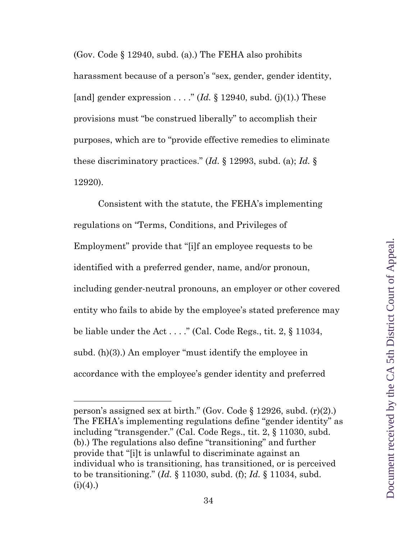(Gov. Code § 12940, subd. (a).) The FEHA also prohibits harassment because of a person's "sex, gender, gender identity, [and] gender expression . . . . " (*Id.*  $\S$  12940, subd. (j)(1).) These provisions must "be construed liberally" to accomplish their purposes, which are to "provide effective remedies to eliminate these discriminatory practices." (*Id.* § 12993, subd. (a); *Id.* § 12920).

Consistent with the statute, the FEHA's implementing regulations on "Terms, Conditions, and Privileges of Employment" provide that "[i]f an employee requests to be identified with a preferred gender, name, and/or pronoun, including gender-neutral pronouns, an employer or other covered entity who fails to abide by the employee's stated preference may be liable under the Act . . . ." (Cal. Code Regs., tit. 2, § 11034, subd. (h)(3).) An employer "must identify the employee in accordance with the employee's gender identity and preferred

person's assigned sex at birth." (Gov. Code § 12926, subd. (r)(2).) The FEHA's implementing regulations define "gender identity" as including "transgender." (Cal. Code Regs., tit. 2, § 11030, subd. (b).) The regulations also define "transitioning" and further provide that "[i]t is unlawful to discriminate against an individual who is transitioning, has transitioned, or is perceived to be transitioning." (*Id.* § 11030, subd. (f); *Id.* § 11034, subd.  $(i)(4)$ .)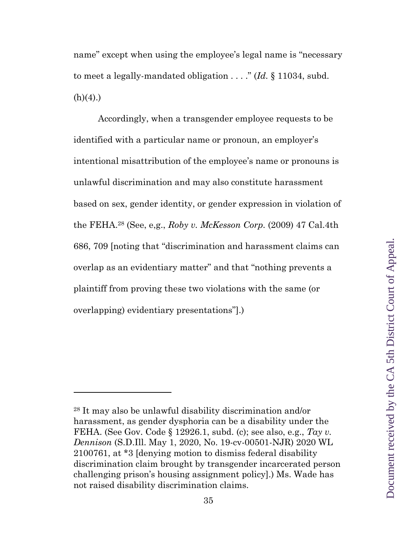name" except when using the employee's legal name is "necessary to meet a legally-mandated obligation . . . ." (*Id.* § 11034, subd.  $(h)(4)$ .)

Accordingly, when a transgender employee requests to be identified with a particular name or pronoun, an employer's intentional misattribution of the employee's name or pronouns is unlawful discrimination and may also constitute harassment based on sex, gender identity, or gender expression in violation of the FEHA.28 (See, e,g., *Roby v. McKesson Corp.* (2009) 47 Cal.4th 686, 709 [noting that "discrimination and harassment claims can overlap as an evidentiary matter" and that "nothing prevents a plaintiff from proving these two violations with the same (or overlapping) evidentiary presentations"].)

<sup>28</sup> It may also be unlawful disability discrimination and/or harassment, as gender dysphoria can be a disability under the FEHA. (See Gov. Code § 12926.1, subd. (c); see also, e.g., *Tay v. Dennison* (S.D.Ill. May 1, 2020, No. 19-cv-00501-NJR) 2020 WL 2100761, at \*3 [denying motion to dismiss federal disability discrimination claim brought by transgender incarcerated person challenging prison's housing assignment policy].) Ms. Wade has not raised disability discrimination claims.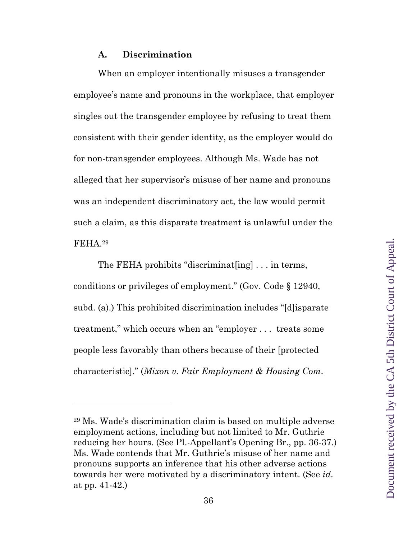#### **A. Discrimination**

When an employer intentionally misuses a transgender employee's name and pronouns in the workplace, that employer singles out the transgender employee by refusing to treat them consistent with their gender identity, as the employer would do for non-transgender employees. Although Ms. Wade has not alleged that her supervisor's misuse of her name and pronouns was an independent discriminatory act, the law would permit such a claim, as this disparate treatment is unlawful under the FEHA.29

The FEHA prohibits "discriminat[ing] . . . in terms, conditions or privileges of employment." (Gov. Code § 12940, subd. (a).) This prohibited discrimination includes "[d]isparate treatment," which occurs when an "employer . . . treats some people less favorably than others because of their [protected characteristic]." (*Mixon v. Fair Employment & Housing Com*.

<sup>29</sup> Ms. Wade's discrimination claim is based on multiple adverse employment actions, including but not limited to Mr. Guthrie reducing her hours. (See Pl.-Appellant's Opening Br., pp. 36-37.) Ms. Wade contends that Mr. Guthrie's misuse of her name and pronouns supports an inference that his other adverse actions towards her were motivated by a discriminatory intent. (See *id.* at pp. 41-42.)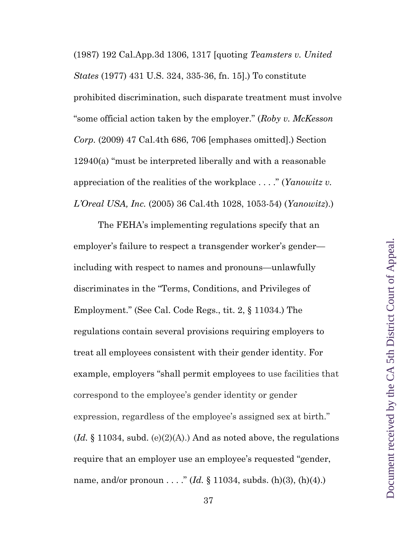(1987) 192 Cal.App.3d 1306, 1317 [quoting *Teamsters v. United States* (1977) 431 U.S. 324, 335-36, fn. 15].) To constitute prohibited discrimination, such disparate treatment must involve "some official action taken by the employer." (*Roby v. McKesson Corp.* (2009) 47 Cal.4th 686, 706 [emphases omitted].) Section 12940(a) "must be interpreted liberally and with a reasonable appreciation of the realities of the workplace . . . ." (*Yanowitz v. L'Oreal USA, Inc.* (2005) 36 Cal.4th 1028, 1053-54) (*Yanowitz*).)

The FEHA's implementing regulations specify that an employer's failure to respect a transgender worker's gender including with respect to names and pronouns—unlawfully discriminates in the "Terms, Conditions, and Privileges of Employment." (See Cal. Code Regs., tit. 2, § 11034.) The regulations contain several provisions requiring employers to treat all employees consistent with their gender identity. For example, employers "shall permit employees to use facilities that correspond to the employee's gender identity or gender expression, regardless of the employee's assigned sex at birth."  $(Id. \S 11034, subd. (e)(2)(A))$  And as noted above, the regulations require that an employer use an employee's requested "gender, name, and/or pronoun . . . ." (*Id.* § 11034, subds. (h)(3), (h)(4).)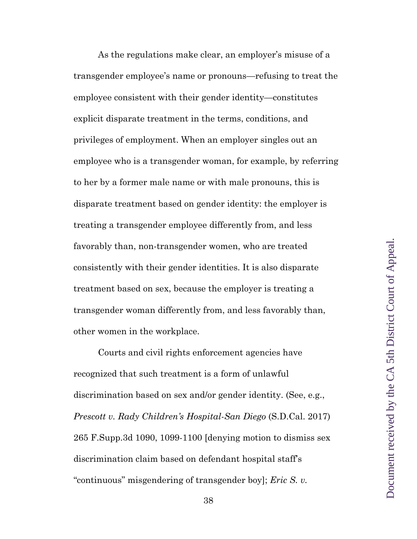As the regulations make clear, an employer's misuse of a transgender employee's name or pronouns—refusing to treat the employee consistent with their gender identity—constitutes explicit disparate treatment in the terms, conditions, and privileges of employment. When an employer singles out an employee who is a transgender woman, for example, by referring to her by a former male name or with male pronouns, this is disparate treatment based on gender identity: the employer is treating a transgender employee differently from, and less favorably than, non-transgender women, who are treated consistently with their gender identities. It is also disparate treatment based on sex, because the employer is treating a transgender woman differently from, and less favorably than, other women in the workplace.

Courts and civil rights enforcement agencies have recognized that such treatment is a form of unlawful discrimination based on sex and/or gender identity. (See, e.g., *Prescott v. Rady Children's Hospital-San Diego* (S.D.Cal. 2017) 265 F.Supp.3d 1090, 1099-1100 [denying motion to dismiss sex discrimination claim based on defendant hospital staff's "continuous" misgendering of transgender boy]; *Eric S. v.*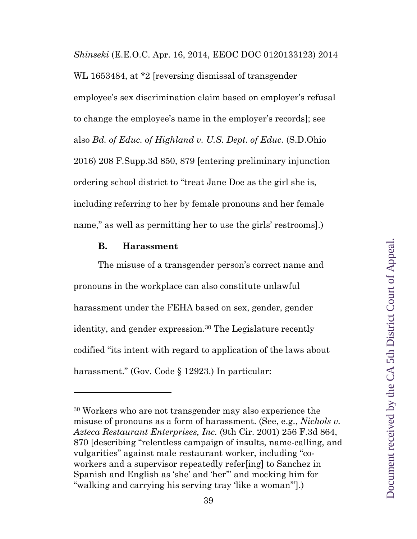*Shinseki* (E.E.O.C. Apr. 16, 2014, EEOC DOC 0120133123) 2014 WL 1653484, at \*2 [reversing dismissal of transgender employee's sex discrimination claim based on employer's refusal to change the employee's name in the employer's records]; see also *Bd. of Educ. of Highland v. U.S. Dept. of Educ.* (S.D.Ohio 2016) 208 F.Supp.3d 850, 879 [entering preliminary injunction ordering school district to "treat Jane Doe as the girl she is, including referring to her by female pronouns and her female name," as well as permitting her to use the girls' restrooms.)

#### **B. Harassment**

The misuse of a transgender person's correct name and pronouns in the workplace can also constitute unlawful harassment under the FEHA based on sex, gender, gender identity, and gender expression.<sup>30</sup> The Legislature recently codified "its intent with regard to application of the laws about harassment." (Gov. Code § 12923.) In particular:

<sup>30</sup> Workers who are not transgender may also experience the misuse of pronouns as a form of harassment. (See, e.g., *Nichols v. Azteca Restaurant Enterprises, Inc.* (9th Cir. 2001) 256 F.3d 864, 870 [describing "relentless campaign of insults, name-calling, and vulgarities" against male restaurant worker, including "coworkers and a supervisor repeatedly refer[ing] to Sanchez in Spanish and English as 'she' and 'her'" and mocking him for "walking and carrying his serving tray 'like a woman'"].)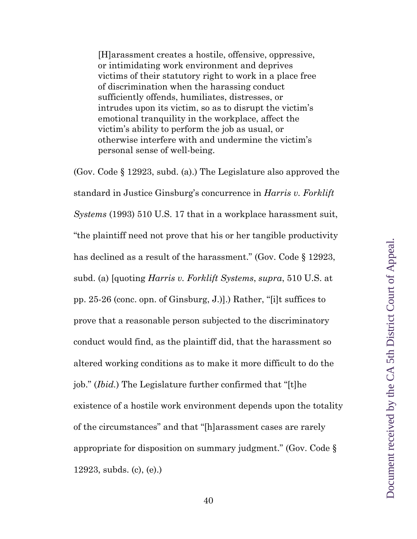[H]arassment creates a hostile, offensive, oppressive, or intimidating work environment and deprives victims of their statutory right to work in a place free of discrimination when the harassing conduct sufficiently offends, humiliates, distresses, or intrudes upon its victim, so as to disrupt the victim's emotional tranquility in the workplace, affect the victim's ability to perform the job as usual, or otherwise interfere with and undermine the victim's personal sense of well-being.

(Gov. Code § 12923, subd. (a).) The Legislature also approved the standard in Justice Ginsburg's concurrence in *Harris v. Forklift Systems* (1993) 510 U.S. 17 that in a workplace harassment suit, "the plaintiff need not prove that his or her tangible productivity has declined as a result of the harassment." (Gov. Code § 12923, subd. (a) [quoting *Harris v. Forklift Systems*, *supra*, 510 U.S. at pp. 25-26 (conc. opn. of Ginsburg, J.)].) Rather, "[i]t suffices to prove that a reasonable person subjected to the discriminatory conduct would find, as the plaintiff did, that the harassment so altered working conditions as to make it more difficult to do the job." (*Ibid.*) The Legislature further confirmed that "[t]he existence of a hostile work environment depends upon the totality of the circumstances" and that "[h]arassment cases are rarely appropriate for disposition on summary judgment." (Gov. Code § 12923, subds. (c), (e).)

40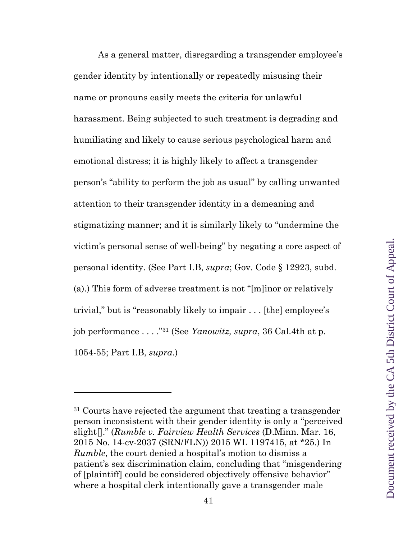As a general matter, disregarding a transgender employee's gender identity by intentionally or repeatedly misusing their name or pronouns easily meets the criteria for unlawful harassment. Being subjected to such treatment is degrading and humiliating and likely to cause serious psychological harm and emotional distress; it is highly likely to affect a transgender person's "ability to perform the job as usual" by calling unwanted attention to their transgender identity in a demeaning and stigmatizing manner; and it is similarly likely to "undermine the victim's personal sense of well-being" by negating a core aspect of personal identity. (See Part I.B, *supra*; Gov. Code § 12923, subd. (a).) This form of adverse treatment is not "[m]inor or relatively trivial," but is "reasonably likely to impair . . . [the] employee's job performance . . . ."31 (See *Yanowitz, supra*, 36 Cal.4th at p. 1054-55; Part I.B, *supra*.)

<sup>&</sup>lt;sup>31</sup> Courts have rejected the argument that treating a transgender person inconsistent with their gender identity is only a "perceived slight[]." (*Rumble v. Fairview Health Services* (D.Minn. Mar. 16, 2015 No. 14-cv-2037 (SRN/FLN)) 2015 WL 1197415, at \*25.) In *Rumble*, the court denied a hospital's motion to dismiss a patient's sex discrimination claim, concluding that "misgendering of [plaintiff] could be considered objectively offensive behavior" where a hospital clerk intentionally gave a transgender male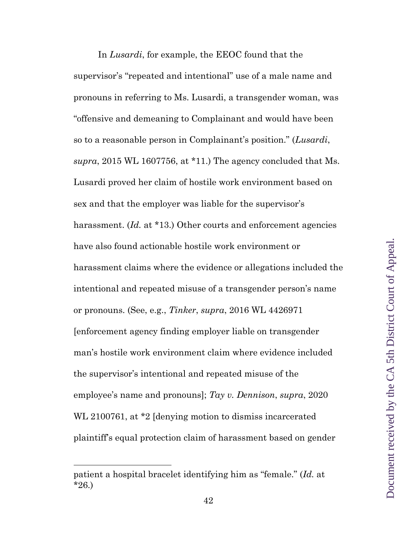In *Lusardi*, for example, the EEOC found that the supervisor's "repeated and intentional" use of a male name and pronouns in referring to Ms. Lusardi, a transgender woman, was "offensive and demeaning to Complainant and would have been so to a reasonable person in Complainant's position." (*Lusardi*, *supra*, 2015 WL 1607756, at \*11.) The agency concluded that Ms. Lusardi proved her claim of hostile work environment based on sex and that the employer was liable for the supervisor's harassment. *(Id.* at \*13.) Other courts and enforcement agencies have also found actionable hostile work environment or harassment claims where the evidence or allegations included the intentional and repeated misuse of a transgender person's name or pronouns. (See, e.g., *Tinker*, *supra*, 2016 WL 4426971 [enforcement agency finding employer liable on transgender man's hostile work environment claim where evidence included the supervisor's intentional and repeated misuse of the employee's name and pronouns]; *Tay v. Dennison*, *supra*, 2020 WL 2100761, at \*2 [denying motion to dismiss incarcerated plaintiff's equal protection claim of harassment based on gender

patient a hospital bracelet identifying him as "female." (*Id.* at \*26.)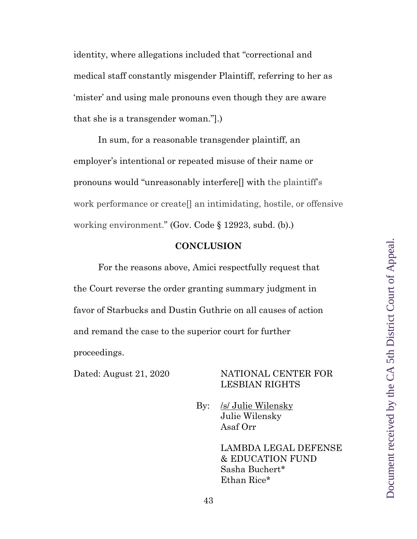identity, where allegations included that "correctional and medical staff constantly misgender Plaintiff, referring to her as 'mister' and using male pronouns even though they are aware that she is a transgender woman."].)

In sum, for a reasonable transgender plaintiff, an employer's intentional or repeated misuse of their name or pronouns would "unreasonably interfere[] with the plaintiff's work performance or create[] an intimidating, hostile, or offensive working environment." (Gov. Code § 12923, subd. (b).)

#### **CONCLUSION**

For the reasons above, Amici respectfully request that the Court reverse the order granting summary judgment in favor of Starbucks and Dustin Guthrie on all causes of action and remand the case to the superior court for further proceedings.

#### Dated: August 21, 2020 NATIONAL CENTER FOR LESBIAN RIGHTS

By: /s/ Julie Wilensky Julie Wilensky Asaf Orr

> LAMBDA LEGAL DEFENSE & EDUCATION FUND Sasha Buchert\* Ethan Rice\*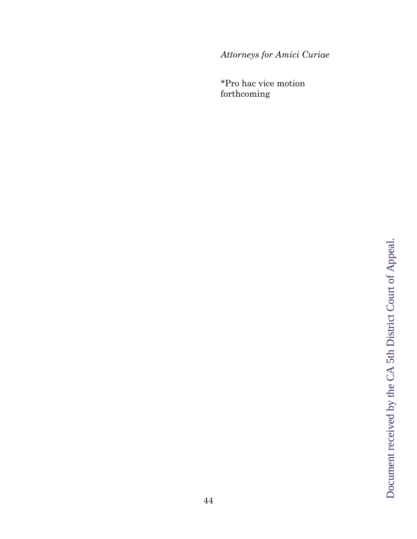*Attorneys for Amici Curiae* 

\*Pro hac vice motion forthcoming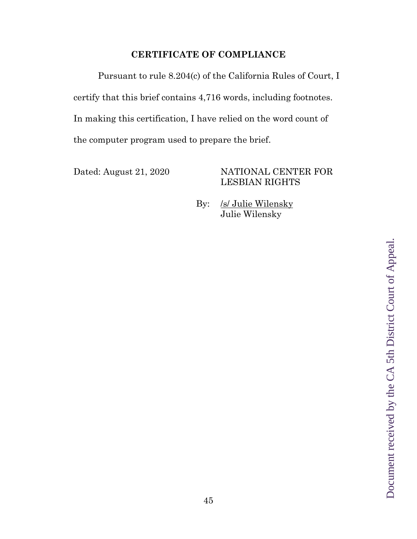## **CERTIFICATE OF COMPLIANCE**

Pursuant to rule 8.204(c) of the California Rules of Court, I certify that this brief contains 4,716 words, including footnotes. In making this certification, I have relied on the word count of the computer program used to prepare the brief.

## Dated: August 21, 2020 NATIONAL CENTER FOR LESBIAN RIGHTS

By: /s/ Julie Wilensky Julie Wilensky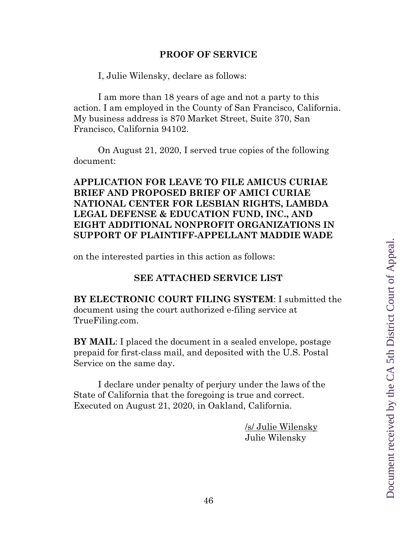#### **PROOF OF SERVICE**

I, Julie Wilensky, declare as follows:

I am more than 18 years of age and not a party to this action. I am employed in the County of San Francisco, California. My business address is 870 Market Street, Suite 370, San Francisco, California 94102.

On August 21, 2020, I served true copies of the following document:

**APPLICATION FOR LEAVE TO FILE AMICUS CURIAE BRIEF AND PROPOSED BRIEF OF AMICI CURIAE NATIONAL CENTER FOR LESBIAN RIGHTS, LAMBDA LEGAL DEFENSE & EDUCATION FUND, INC., AND EIGHT ADDITIONAL NONPROFIT ORGANIZATIONS IN SUPPORT OF PLAINTIFF-APPELLANT MADDIE WADE** 

on the interested parties in this action as follows:

## **SEE ATTACHED SERVICE LIST**

**BY ELECTRONIC COURT FILING SYSTEM**: I submitted the document using the court authorized e-filing service at TrueFiling.com.

**BY MAIL**: I placed the document in a sealed envelope, postage prepaid for first-class mail, and deposited with the U.S. Postal Service on the same day.

I declare under penalty of perjury under the laws of the State of California that the foregoing is true and correct. Executed on August 21, 2020, in Oakland, California.

> /s/ Julie Wilensky Julie Wilensky